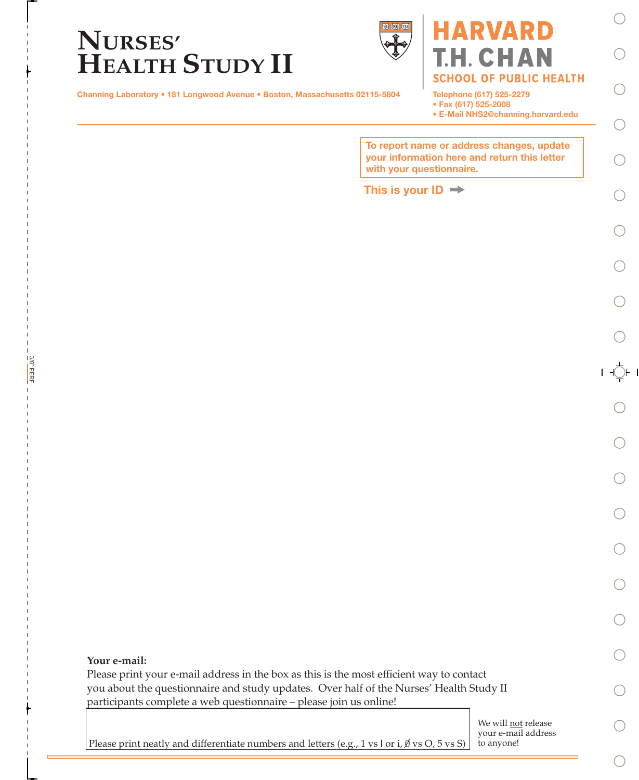



## **ARVARD** T.H. CHAN **SCHOOL OF PUBLIC HEALTH**

Channing Laboratory • 181 Longwood Avenue • Boston, Massachusetts 02115-5804

Telephone (617) 525-2279

• Fax (617) 525-2008

• E-Mail NHS2@channing.harvard.edu

To report name or address changes, update your information here and return this letter with your questionnaire.

#### This is your  $ID \rightarrow$

t

3/8" PERF

3/8" PERF

Please print your e-mail address in the box as this is the most efficient way to contact you about the questionnaire and study updates. Over half of the Nurses' Health Study II participants complete a web questionnaire – please join us online!

> We will **not** release your e-mail address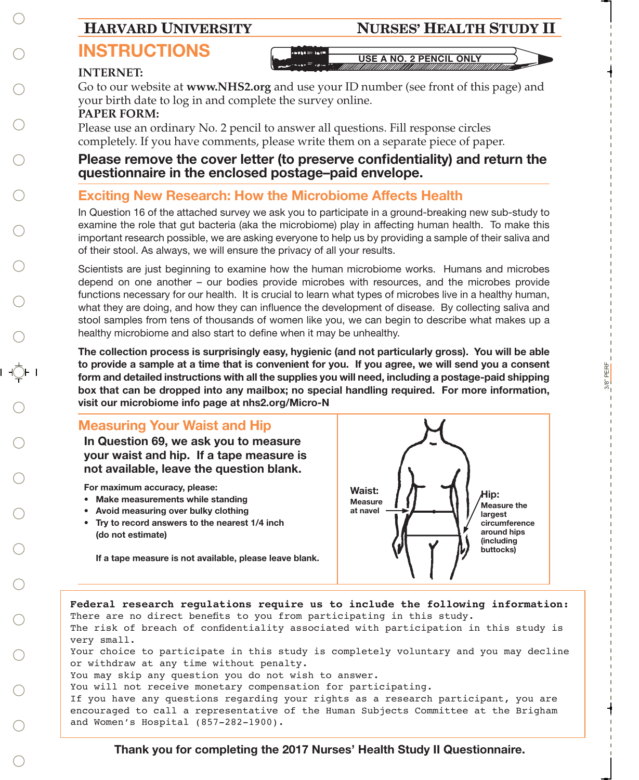### **HARVARD UNIVERSITY NURSES' HEALTH STUDY II**

# **USE A NO. 2 PENCIL ONLY**

#### **INTERNET:**

Go to our website at **www.NHS2.org** and use your ID number (see front of this page) and your birth date to log in and complete the survey online.

#### **PAPER FORM:**

Please use an ordinary No. 2 pencil to answer all questions. Fill response circles completely. If you have comments, please write them on a separate piece of paper.

#### Please remove the cover letter (to preserve confidentiality) and return the questionnaire in the enclosed postage–paid envelope.

### Exciting New Research: How the Microbiome Affects Health

In Question 16 of the attached survey we ask you to participate in a ground-breaking new sub-study to examine the role that gut bacteria (aka the microbiome) play in affecting human health. To make this important research possible, we are asking everyone to help us by providing a sample of their saliva and of their stool. As always, we will ensure the privacy of all your results.

Scientists are just beginning to examine how the human microbiome works. Humans and microbes depend on one another – our bodies provide microbes with resources, and the microbes provide functions necessary for our health. It is crucial to learn what types of microbes live in a healthy human, what they are doing, and how they can influence the development of disease. By collecting saliva and stool samples from tens of thousands of women like you, we can begin to describe what makes up a healthy microbiome and also start to define when it may be unhealthy.

The collection process is surprisingly easy, hygienic (and not particularly gross). You will be able to provide a sample at a time that is convenient for you. If you agree, we will send you a consent form and detailed instructions with all the supplies you will need, including a postage-paid shipping box that can be dropped into any mailbox; no special handling required. For more information, visit our microbiome info page at nhs2.org/Micro-N

#### Measuring Your Waist and Hip

In Question 69, we ask you to measure your waist and hip. If a tape measure is not available, leave the question blank.

For maximum accuracy, please:

- Make measurements while standing
- Avoid measuring over bulky clothing
- Try to record answers to the nearest 1/4 inch (do not estimate)

Waist: **Measure**  $\begin{array}{ccc} \text{measure} & \begin{array}{c} \text{if} \\ \text{if} \end{array} \\ \text{at } \text{navel} \end{array}$ largest circumference around hips (including buttocks) Hip:

3/8" PERF

PERF  $3/8$ 

If a tape measure is not available, please leave blank.



Thank you for completing the 2017 Nurses' Health Study II Questionnaire.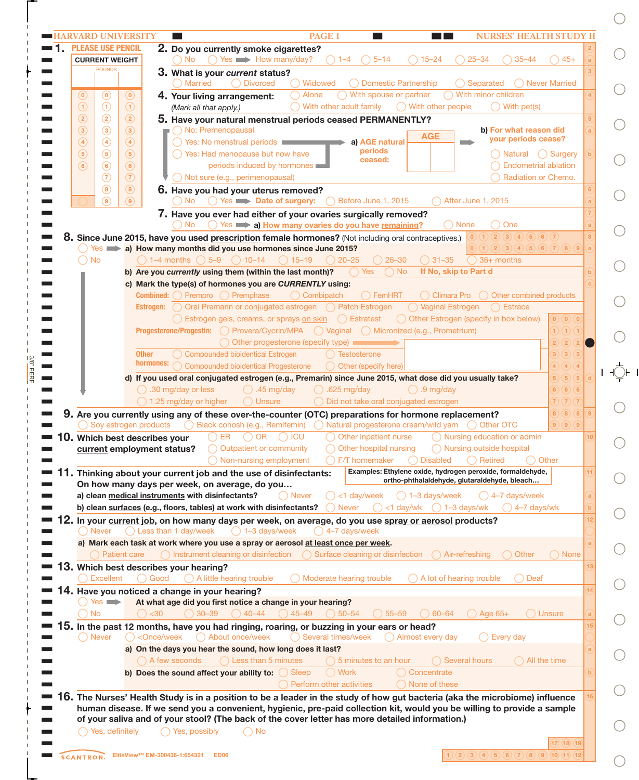|                          | <b>CURRENT WEIGHT</b>    | <b>PLEASE USE PENCIL</b>            | 2. Do you currently smoke cigarettes?<br>$\bigcap$ Yes $\longrightarrow$ How many/day?<br>$5 - 14$<br>$15 - 24$<br>$25 - 34$<br>No.                                                                                        | $35 - 44$<br>$45+$                                                                                                      |
|--------------------------|--------------------------|-------------------------------------|----------------------------------------------------------------------------------------------------------------------------------------------------------------------------------------------------------------------------|-------------------------------------------------------------------------------------------------------------------------|
|                          | <b>POUNDS</b>            |                                     | 3. What is your current status?                                                                                                                                                                                            |                                                                                                                         |
|                          |                          |                                     | <b>Divorced</b><br><b>Married</b><br>Widowed<br><b>Domestic Partnership</b><br>Separated<br>$\bigcap$                                                                                                                      | <b>Never Married</b>                                                                                                    |
| $\left( 0\right)$        | $^{\copyright}$          | $\circledcirc$                      | ◯ With spouse or partner<br>With minor children<br>Alone<br>4. Your living arrangement:                                                                                                                                    |                                                                                                                         |
| $\odot$<br>$\circled{2}$ | $\odot$<br>$\circled{2}$ | $\odot$<br>$\circled{2}$            | With other adult family<br>$\bigcap$ With other people<br>(Mark all that apply.)                                                                                                                                           | $\bigcap$ With pet(s)                                                                                                   |
| $\circled{3}$            | $\circled{3}$            | $\circled{3}$                       | 5. Have your natural menstrual periods ceased PERMANENTLY?<br>O No: Premenopausal                                                                                                                                          | b) For what reason did                                                                                                  |
| $\circled{4}$            | $\bigcirc$               | $\circled{4}$                       | <b>AGE</b><br>◯ Yes: No menstrual periods<br>a) AGE natural                                                                                                                                                                | your periods cease?                                                                                                     |
| $\circled{5}$            | $\circled{5}$            | (5)                                 | periods<br>◯ Yes: Had menopause but now have                                                                                                                                                                               | ◯ Natural () Surgery                                                                                                    |
| $\circled{6}$            | $\circled{6}$            | $\circled{6}$                       | ceased:<br>periods induced by hormones                                                                                                                                                                                     | <b>Endometrial ablation</b>                                                                                             |
|                          | $\circled{7}$            | $\circled{7}$                       | ◯ Not sure (e.g., perimenopausal)                                                                                                                                                                                          | Radiation or Chemo.                                                                                                     |
|                          | $\circled{8}$            | $\circled{8}$                       | 6. Have you had your uterus removed?                                                                                                                                                                                       |                                                                                                                         |
|                          | $\circledcirc$           | $\circledcirc$                      | $\bigcirc$ Yes $\Longrightarrow$ Date of surgery:<br>Before June 1, 2015<br>No.<br>After June 1, 2015<br>$($ )                                                                                                             |                                                                                                                         |
|                          |                          |                                     | 7. Have you ever had either of your ovaries surgically removed?                                                                                                                                                            |                                                                                                                         |
|                          |                          |                                     | Yes <b>a) How many ovaries do you have remaining?</b><br>◯ None<br>No.<br>8. Since June 2015, have you used prescription female hormones? (Not including oral contraceptives.)                                             | One<br>$(0)$ $(1)$ $(2)$ $(3)$ $(4)$ $(5)$ $(6)$ $(7)$                                                                  |
|                          |                          |                                     | $Yes$ a) How many months did you use hormones since June 2015?                                                                                                                                                             | $\boxed{0}$ $\boxed{1}$ $\boxed{2}$ $\boxed{3}$ $\boxed{4}$ $\boxed{5}$ $\boxed{6}$ $\boxed{7}$ $\boxed{8}$ $\boxed{9}$ |
|                          | <b>No</b>                |                                     | $\bigcap$ 1–4 months $\bigcap$ 5–9 $\bigcap$ 10–14<br>$\bigcirc$ 26-30<br>$\bigcap$ 31-35<br>$\bigcirc$ 15–19<br>$\bigcirc$ 20-25                                                                                          | 36+ months                                                                                                              |
|                          |                          |                                     | If No, skip to Part d<br>Yes<br>$\bigcap$ No<br>b) Are you currently using them (within the last month)?                                                                                                                   |                                                                                                                         |
|                          |                          |                                     | c) Mark the type(s) of hormones you are CURRENTLY using:                                                                                                                                                                   |                                                                                                                         |
|                          |                          |                                     | $\bigcap$ FemHRT<br><b>Combined:</b> O Prempro O Premphase<br>$\bigcap$ Combipatch                                                                                                                                         | $\bigcap$ Climara Pro $\bigcap$ Other combined products                                                                 |
|                          |                          |                                     | Estrogen: O Oral Premarin or conjugated estrogen O Patch Estrogen<br>◯ Vaginal Estrogen                                                                                                                                    | $\bigcap$ Estrace                                                                                                       |
|                          |                          |                                     | ◯ Estrogen gels, creams, or sprays on skin ◯ Estratest<br>◯ Other Estrogen (specify in box below)                                                                                                                          |                                                                                                                         |
|                          |                          |                                     | Progesterone/Progestin: O Provera/Cycrin/MPA O Vaginal O Micronized (e.g., Prometrium)                                                                                                                                     | 1) (1) (1)                                                                                                              |
|                          |                          | <b>Other</b>                        | Other progesterone (specify type)<br><b>Compounded bioidentical Estrogen</b><br>Testosterone                                                                                                                               | $\mathbf{2}$<br>(2)<br>(2)<br>(3)(3)<br>3)                                                                              |
|                          |                          | hormones:                           | <b>Compounded bioidentical Progesterone</b><br>Other (specify here)<br>$\bigcap$                                                                                                                                           | (4)<br>(4)                                                                                                              |
|                          |                          |                                     | d) If you used oral conjugated estrogen (e.g., Premarin) since June 2015, what dose did you usually take?                                                                                                                  | $\sqrt{5}$<br>$5)$ $(5)$                                                                                                |
|                          |                          |                                     | $\bigcirc$ .30 mg/day or less<br>$)$ .625 mg/day<br>$\bigcirc$ .9 mg/day<br>$\bigcirc$ .45 mg/day                                                                                                                          | 6) 6) 6                                                                                                                 |
|                          |                          |                                     |                                                                                                                                                                                                                            |                                                                                                                         |
|                          |                          |                                     | ◯ 1.25 mg/day or higher<br>◯ Did not take oral conjugated estrogen<br>$\bigcap$ Unsure                                                                                                                                     | $\widehat{7}$ $\widehat{7}$ $\widehat{7}$                                                                               |
|                          |                          |                                     | 9. Are you currently using any of these over-the-counter (OTC) preparations for hormone replacement?                                                                                                                       | 8) (8) (8)                                                                                                              |
|                          |                          | Soy estrogen products               | ◯ Other OTC                                                                                                                                                                                                                | $9)$ $9)$ $9$                                                                                                           |
|                          |                          | <b>0.</b> Which best describes your | ◯ Nursing education or admin<br><b>ER</b><br>$\bigcap$ OR<br>$\bigcirc$ icu<br>Other inpatient nurse                                                                                                                       |                                                                                                                         |
|                          |                          |                                     | Outpatient or community<br>Other hospital nursing<br>◯ Nursing outside hospital<br>current employment status?                                                                                                              |                                                                                                                         |
|                          |                          |                                     | F/T homemaker<br>$\bigcap$ Disabled<br>◯ Non-nursing employment<br>$\bigcap$ Retired                                                                                                                                       | Other                                                                                                                   |
|                          |                          |                                     | Examples: Ethylene oxide, hydrogen peroxide, formaldehyde,<br>11. Thinking about your current job and the use of disinfectants:<br>ortho-phthalaldehyde, glutaraldehyde, bleach                                            |                                                                                                                         |
|                          |                          |                                     | On how many days per week, on average, do you<br>a) clean medical instruments with disinfectants?<br>◯ Never<br>$<$ 1 day/week<br>1-3 days/week                                                                            | 4-7 days/week                                                                                                           |
|                          |                          |                                     | b) clean surfaces (e.g., floors, tables) at work with disinfectants?<br><b>Never</b><br><1 day/wk<br>$\bigcap$ 1–3 days/wk                                                                                                 | 4-7 days/wk                                                                                                             |
|                          |                          |                                     | 2. In your current job, on how many days per week, on average, do you use spray or aerosol products?                                                                                                                       |                                                                                                                         |
|                          | ◯ Never                  |                                     | ◯ Less than 1 day/week<br>$\bigcap$ 1-3 days/week<br>4-7 days/week                                                                                                                                                         |                                                                                                                         |
|                          |                          |                                     | a) Mark each task at work where you use a spray or aerosol at least once per week.                                                                                                                                         |                                                                                                                         |
|                          |                          | <b>Patient care</b>                 | ◯ Instrument cleaning or disinfection<br>Surface cleaning or disinfection<br>Air-refreshing                                                                                                                                | <b>Other</b><br>◯ None                                                                                                  |
|                          |                          |                                     | 3. Which best describes your hearing?                                                                                                                                                                                      |                                                                                                                         |
|                          | <b>Excellent</b>         |                                     | Good<br>A little hearing trouble<br>Moderate hearing trouble<br>A lot of hearing trouble                                                                                                                                   | Deaf                                                                                                                    |
|                          | $Yes \implies$           |                                     | 4. Have you noticed a change in your hearing?                                                                                                                                                                              |                                                                                                                         |
|                          | <b>No</b>                | $30$                                | At what age did you first notice a change in your hearing?<br>$30 - 39$<br>$\bigcirc$ 40–44<br>$45 - 49$<br>$50 - 54$<br>$55 - 59$<br>$60 - 64$                                                                            | <b>Unsure</b><br>Age $65+$                                                                                              |
| 5.                       |                          |                                     | In the past 12 months, have you had ringing, roaring, or buzzing in your ears or head?                                                                                                                                     |                                                                                                                         |
|                          | ◯ Never                  |                                     | ◯ Several times/week<br><once week<br="">About once/week<br/>Almost every day</once>                                                                                                                                       | ◯ Every day                                                                                                             |
|                          |                          |                                     | a) On the days you hear the sound, how long does it last?                                                                                                                                                                  |                                                                                                                         |
|                          |                          |                                     | $\bigcap$ Less than 5 minutes<br>Several hours<br>( ) A few seconds<br>5 minutes to an hour                                                                                                                                | All the time                                                                                                            |
|                          |                          |                                     | Sleep<br><b>Work</b><br>Concentrate<br>b) Does the sound affect your ability to:                                                                                                                                           |                                                                                                                         |
|                          |                          |                                     | Perform other activities<br>None of these                                                                                                                                                                                  |                                                                                                                         |
| 6.                       |                          |                                     | The Nurses' Health Study is in a position to be a leader in the study of how gut bacteria (aka the microbiome) influence                                                                                                   |                                                                                                                         |
|                          |                          |                                     | human disease. If we send you a convenient, hygienic, pre-paid collection kit, would you be willing to provide a sample<br>of your saliva and of your stool? (The back of the cover letter has more detailed information.) |                                                                                                                         |

3/8" PERF

 $\frac{3/8}{2}$  PERF

D

∋

 $\sum_{i=1}^{n}$ 

⊇

 $\bigcirc$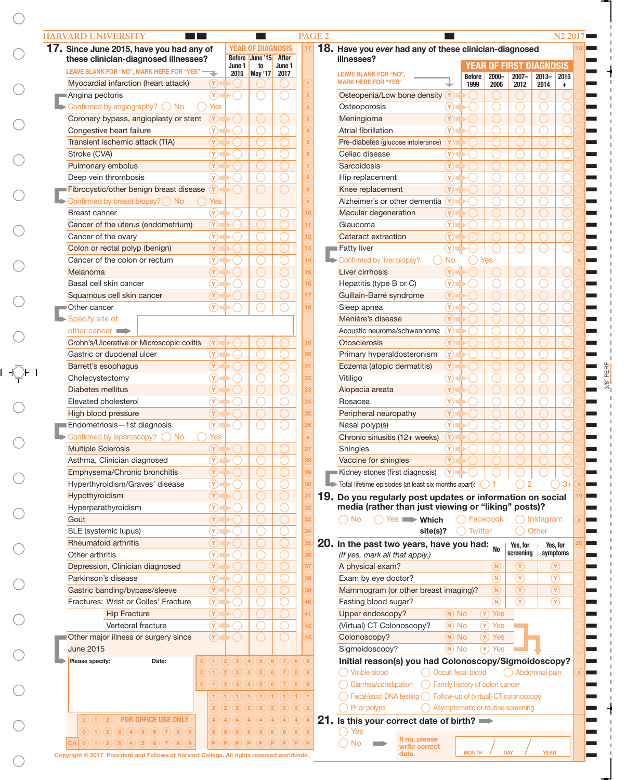|                                                                                           | 17. Since June 2015, have you had any of           | <b>YEAR OF DIAGNOSIS</b><br>Before June '15           | After                                              | 18. Have you ever had any of these clinician-diagnosed<br>illnesses? |                                      |                    |                |                                   |                      |
|-------------------------------------------------------------------------------------------|----------------------------------------------------|-------------------------------------------------------|----------------------------------------------------|----------------------------------------------------------------------|--------------------------------------|--------------------|----------------|-----------------------------------|----------------------|
| these clinician-diagnosed illnesses?<br>LEAVE BLANK FOR "NO", MARK HERE FOR "YES"         | June 1                                             | to                                                    | June 1                                             |                                                                      |                                      |                    |                | <b>YEAR OF FIRST DIAGNOSIS</b>    |                      |
| Myocardial infarction (heart attack)                                                      | $(\forall)$                                        | 2015   May '17   2017                                 |                                                    | <b>LEAVE BLANK FOR "NO",</b><br><b>MARK HERE FOR "YES"</b>           |                                      | <b>Before</b>      | $2000 -$       | $2007 -$                          | $2013 -$             |
| Angina pectoris                                                                           | $\circledR$                                        |                                                       | $\overline{2}$                                     | Osteopenia/Low bone density                                          | (Y                                   | 1999               | 2006           | 2012                              | 2014                 |
| Confirmed by angiography? O No                                                            | <b>Yes</b>                                         |                                                       |                                                    | Osteoporosis                                                         | $\left( \widehat{\mathsf{Y}}\right)$ |                    |                |                                   |                      |
| Coronary bypass, angioplasty or stent                                                     | $(\widehat{\textbf{Y}})$                           |                                                       |                                                    | Meningioma                                                           | $(\lambda)$                          |                    |                |                                   |                      |
|                                                                                           | $\circledR$                                        |                                                       |                                                    | Atrial fibrillation                                                  | $\circledR$                          |                    |                |                                   |                      |
| Congestive heart failure<br>Transient ischemic attack (TIA)                               | $\circledR$                                        |                                                       |                                                    |                                                                      |                                      |                    |                |                                   |                      |
|                                                                                           |                                                    |                                                       |                                                    | Pre-diabetes (glucose intolerance)                                   | Y)                                   |                    |                |                                   |                      |
| Stroke (CVA)                                                                              | $\circledR$                                        |                                                       |                                                    | Celiac disease                                                       | $\circledR$                          |                    |                |                                   |                      |
| Pulmonary embolus                                                                         | $\circledR$                                        |                                                       |                                                    | Sarcoidosis                                                          | $\circledR$                          |                    |                |                                   |                      |
| Deep vein thrombosis                                                                      | $\circledR$                                        |                                                       | 8                                                  | Hip replacement                                                      | $\circledR$                          |                    |                |                                   |                      |
| Fibrocystic/other benign breast disease                                                   | $\mathbf{Y})$                                      |                                                       | $\overline{9}$                                     | Knee replacement                                                     | $(\lambda)$                          |                    |                |                                   |                      |
| Confirmed by breast biopsy? O No                                                          | Yes                                                |                                                       | a                                                  | Alzheimer's or other dementia                                        | Y)                                   |                    |                |                                   |                      |
| <b>Breast cancer</b>                                                                      | $\circledR$                                        |                                                       | 10                                                 | Macular degeneration                                                 | $(\Upsilon)$                         |                    |                |                                   |                      |
| Cancer of the uterus (endometrium)                                                        | $\circledR$                                        |                                                       | 11                                                 | Glaucoma                                                             | $\circledR$                          |                    |                |                                   |                      |
| Cancer of the ovary                                                                       | $\circledR$                                        |                                                       | 12                                                 | Cataract extraction                                                  | $(\lambda)$                          |                    |                |                                   |                      |
| Colon or rectal polyp (benign)                                                            | $\circledR$                                        |                                                       | 13                                                 | Fatty liver                                                          | $\circledR$                          |                    |                |                                   |                      |
| Cancer of the colon or rectum                                                             | $\circledR$                                        |                                                       | 14                                                 | Confirmed by liver biopsy?                                           | <b>No</b>                            |                    | Yes            |                                   |                      |
| Melanoma                                                                                  | $\circledR$                                        |                                                       | 15                                                 | Liver cirrhosis                                                      | $\circledR$                          |                    |                |                                   |                      |
| Basal cell skin cancer                                                                    | $\circledR$                                        |                                                       | 16                                                 | Hepatitis (type B or C)                                              | $\circledR$                          |                    |                |                                   |                      |
| Squamous cell skin cancer                                                                 | $\circledR$                                        |                                                       | 17                                                 | Guillain-Barré syndrome                                              | $\circledR$                          |                    |                |                                   |                      |
| Other cancer                                                                              | $\circledR$                                        |                                                       | 18                                                 | Sleep apnea                                                          | $\circledR$                          |                    |                |                                   |                      |
| Specify site of                                                                           |                                                    |                                                       |                                                    | Ménière's disease                                                    | $\left( \widehat{\mathbf{Y}}\right)$ |                    |                |                                   |                      |
| other cancer                                                                              |                                                    |                                                       |                                                    | Acoustic neuroma/schwannoma                                          | Y)                                   |                    |                |                                   |                      |
| Crohn's/Ulcerative or Microscopic colitis                                                 | Y                                                  |                                                       | 19                                                 | <b>Otosclerosis</b>                                                  | $\circledR$                          |                    |                |                                   |                      |
| Gastric or duodenal ulcer                                                                 | $\circledR$                                        |                                                       | 20                                                 | Primary hyperaldosteronism                                           | $\circledR$                          |                    |                |                                   |                      |
| Barrett's esophagus                                                                       | $\circledR$                                        |                                                       | 21                                                 | Eczema (atopic dermatitis)                                           | $(\lambda)$                          |                    |                |                                   |                      |
| Cholecystectomy                                                                           | $\circledR$                                        |                                                       | 22                                                 | Vitiligo                                                             | $\circledR$                          |                    |                |                                   |                      |
| <b>Diabetes mellitus</b>                                                                  | $\circledR$                                        |                                                       | 23                                                 | Alopecia areata                                                      | $\circledR$                          |                    |                |                                   |                      |
| Elevated cholesterol                                                                      | $\circledR$                                        |                                                       | 24                                                 | Rosacea                                                              | $\circledR$                          |                    |                |                                   |                      |
| High blood pressure                                                                       | $\circledR$                                        |                                                       | 25                                                 | Peripheral neuropathy                                                | $\circledR$                          |                    |                |                                   |                      |
| ■ Endometriosis - 1st diagnosis                                                           | $\circledR$                                        |                                                       | 26                                                 | Nasal polyp(s)                                                       | $\circledR$                          |                    |                |                                   |                      |
| $\triangleright$ Confirmed by laparoscopy? $\bigcirc$ No                                  | Yes                                                |                                                       |                                                    | Chronic sinusitis (12+ weeks)                                        | Y)                                   |                    |                |                                   |                      |
| <b>Multiple Sclerosis</b>                                                                 | $(\forall)$                                        |                                                       |                                                    | Shingles                                                             | $(\widehat{\mathsf{Y}})$             |                    |                |                                   |                      |
| Asthma, Clinician diagnosed                                                               | $\Omega$                                           |                                                       |                                                    | Vaccine for shingles                                                 | $\infty$                             |                    |                |                                   |                      |
| Emphysema/Chronic bronchitis                                                              | $\circledR$                                        |                                                       | 29                                                 | Kidney stones (first diagnosis)                                      | $(\Upsilon)$                         |                    |                |                                   |                      |
| Hyperthyroidism/Graves' disease                                                           | $\circledR$                                        |                                                       | 30                                                 | Total lifetime episodes (at least six months apart):                 |                                      |                    |                |                                   |                      |
| Hypothyroidism                                                                            | $\circledR$                                        |                                                       | $\overline{31}$                                    | 19. Do you regularly post updates or information on social           |                                      |                    |                |                                   |                      |
| Hyperparathyroidism                                                                       | $\circledR$                                        |                                                       | 32                                                 | media (rather than just viewing or "liking" posts)?                  |                                      |                    |                |                                   |                      |
|                                                                                           | $\circledR$                                        |                                                       | 33                                                 | $\bigcirc$ No<br>$\bigcirc$ Yes $\longrightarrow$ Which              |                                      | $\bigcap$ Facebook |                |                                   | $\bigcap$ Instagram  |
|                                                                                           |                                                    |                                                       | 34                                                 | site(s)?                                                             |                                      | <b>Twitter</b>     |                |                                   | Other                |
| Gout                                                                                      |                                                    |                                                       |                                                    |                                                                      |                                      |                    |                |                                   |                      |
| SLE (systemic lupus)                                                                      | $\circledR$                                        |                                                       |                                                    |                                                                      |                                      |                    | <b>No</b>      | Yes, for<br>screening             | Yes, for<br>symptoms |
| Rheumatoid arthritis                                                                      | $\circledR$                                        |                                                       |                                                    | 20. In the past two years, have you had:                             |                                      |                    |                |                                   |                      |
| Other arthritis                                                                           | $\circledR$                                        |                                                       | 36                                                 | (If yes, mark all that apply.)                                       |                                      |                    |                |                                   |                      |
| Depression, Clinician diagnosed                                                           | $\circledR$                                        |                                                       | 37                                                 | A physical exam?                                                     |                                      |                    | $(\mathsf{N})$ | $\circled{r}$                     | $(\Upsilon)$         |
| Parkinson's disease                                                                       | $\circledR$                                        |                                                       | 38                                                 | Exam by eye doctor?                                                  |                                      |                    | $\binom{N}{k}$ | $\circledR$                       | $\circledR$          |
| Gastric banding/bypass/sleeve                                                             | $\circledR$                                        |                                                       | 39                                                 | Mammogram (or other breast imaging)?                                 |                                      |                    | $\circledR$    | $\circledR$                       | $\circledR$          |
| Fractures: Wrist or Colles' Fracture                                                      | $\circledR$                                        |                                                       | 40                                                 | Fasting blood sugar?                                                 |                                      |                    | $\binom{N}{k}$ | $\circledR$                       | $\circledR$          |
| <b>Hip Fracture</b>                                                                       | $\circledR$                                        |                                                       | 41                                                 | Upper endoscopy?                                                     | $(N)$ No                             |                    | (Y) Yes        |                                   |                      |
| Vertebral fracture                                                                        | $\circledR$                                        |                                                       | 42                                                 | (Virtual) CT Colonoscopy?                                            | $(N)$ No                             |                    | $(Y)$ Yes      |                                   |                      |
|                                                                                           | $\circledR$                                        |                                                       | 43                                                 | Colonoscopy?                                                         | $(N)$ No                             |                    | (Y) Yes        |                                   |                      |
|                                                                                           |                                                    |                                                       |                                                    | Sigmoidoscopy?                                                       | $(N)$ No                             |                    | $(Y)$ Yes      |                                   |                      |
| <b>June 2015</b><br>Please specify:<br>Date:                                              | (2)(3)<br>$\left( 0\right)$                        | (4)(5)(6)(7)                                          | (8)<br>$\left(9\right)$                            | Initial reason(s) you had Colonoscopy/Sigmoidoscopy?                 |                                      |                    |                |                                   |                      |
|                                                                                           | $\left( 3\right)$<br>$\left( 2\right)$<br>$\alpha$ | (5)(6)<br>(4)                                         | (7)<br>(8)<br>$\left(9\right)$                     | ◯ Visible blood<br>◯ Occult fecal blood                              |                                      |                    |                | Abdominal pain                    |                      |
| Other major illness or surgery since                                                      | (3)                                                | (5)(6)(7)<br>(4)                                      | (8)<br>$\left(9\right)$                            | Diarrhea/constipation<br>◯ Family history of colon cancer            |                                      |                    |                |                                   |                      |
|                                                                                           |                                                    | (1)(1)(1)(1)                                          |                                                    |                                                                      |                                      |                    |                |                                   |                      |
|                                                                                           |                                                    | $\left( 2\right)$<br>$\overline{2}$<br>$\overline{2}$ | $\overline{2}$<br>$\boxed{2}$<br>$\left( 2\right)$ | Fecal/stool DNA testing ◯ Follow-up of (virtual) CT colonoscopy      |                                      |                    |                |                                   |                      |
| (0)(1)(2)                                                                                 |                                                    | $\left( 4 \right)$<br>$\left  4 \right\rangle$        | $\left( 4\right)$<br>(4)                           | Prior polyps                                                         |                                      |                    |                | Asymptomatic or routine screening |                      |
| <b>FOR OFFICE USE ONLY</b><br>$(0)$ $(1)$ $(2)$ $(3)$ $(4)$ $(5)$ $(6)$ $(7)$ $(8)$ $(9)$ | $\left  8 \right\rangle$                           | $\left( 8\right)$<br>$\left( 8\right)$                | (8)(8)<br>$\left( 8\right)$                        | 21. Is this your correct date of birth?<br>Yes                       |                                      |                    |                |                                   |                      |

 $\bigcirc$ 

 $\bigcirc$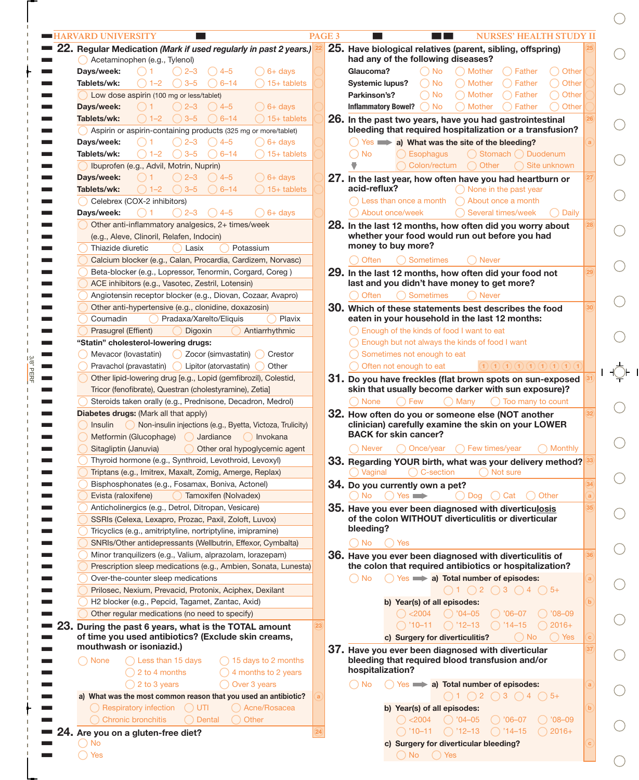|                                                                                                   | PAGE <sub>3</sub> | <b>NURSES' HEALTH STUDY II</b>                                                                                                       |
|---------------------------------------------------------------------------------------------------|-------------------|--------------------------------------------------------------------------------------------------------------------------------------|
| 22. Regular Medication (Mark if used regularly in past 2 years.)<br>Acetaminophen (e.g., Tylenol) |                   | 25. Have biological relatives (parent, sibling, offspring)<br>had any of the following diseases?                                     |
| $()$ 6+ days<br>Davs/week:<br>$( ) 4-5 $<br>( ) 2–3                                               |                   | Glaucoma?<br>◯ Mother<br>$\bigcap$ Father<br>○ Other<br>◯ No                                                                         |
| $3 - 5$<br>$\bigcap$ 15+ tablets<br>Tablets/wk:<br>$1 - 2$<br>$() 6-14$                           |                   | ◯ Other<br>$\bigcap$ No<br>◯ Mother<br>$\bigcap$ Father<br><b>Systemic lupus?</b>                                                    |
|                                                                                                   |                   | ◯ Other<br>$\bigcap$ No<br>◯ Mother<br>$\bigcap$ Father                                                                              |
| Low dose aspirin (100 mg or less/tablet)                                                          |                   | Parkinson's?                                                                                                                         |
| $\bigcap$ 6+ days<br>Days/week:<br>$() 2 - 3$<br>$( ) 4-5 $<br>$($ ) 1                            |                   | $\bigcirc$ No<br>◯ Mother<br>) Father<br>Other<br><b>Inflammatory Bowel?</b>                                                         |
| $\bigcap$ 15+ tablets<br>Tablets/wk:<br>$() 3-5$<br>$() 6-14$<br>$() 1 - 2$                       |                   | 26. In the past two years, have you had gastrointestinal                                                                             |
| Aspirin or aspirin-containing products (325 mg or more/tablet)                                    |                   | bleeding that required hospitalization or a transfusion?                                                                             |
| $() 2 - 3$<br>$() 4-5$<br>$\bigcap$ 6+ days<br>Days/week:                                         |                   | $\bigcirc$ Yes $\implies$ a) What was the site of the bleeding?                                                                      |
| $3 - 5$<br>Tablets/wk:<br>$6 - 14$<br>$\big)$ 15+ tablets<br>$1 - 2$                              |                   | Esophagus<br>◯ Stomach ◯ Duodenum<br>◯ No                                                                                            |
| Ibuprofen (e.g., Advil, Motrin, Nuprin)                                                           |                   | Site unknown<br>Colon/rectum<br>◯ Other                                                                                              |
| $\bigcirc$ 6+ days<br>Days/week:<br>$() 2 - 3$<br>$() 4-5$                                        |                   | 27. In the last year, how often have you had heartburn or                                                                            |
| $\bigcap$ 15+ tablets<br>Tablets/wk:<br>$() 3-5$<br>$() 6-14$<br>$() 1 - 2$                       |                   | acid-reflux?<br>$\bigcap$ None in the past year                                                                                      |
| Celebrex (COX-2 inhibitors)                                                                       |                   | $\bigcap$ Less than once a month<br>About once a month                                                                               |
|                                                                                                   |                   | About once/week                                                                                                                      |
| $() 2 - 3$<br>$\bigcirc$ 6+ days<br>Days/week:<br>( ) 1<br>$() 4-5$                               |                   | Several times/week<br><b>Daily</b>                                                                                                   |
| Other anti-inflammatory analgesics, 2+ times/week                                                 |                   | 28. In the last 12 months, how often did you worry about                                                                             |
| (e.g., Aleve, Clinoril, Relafen, Indocin)                                                         |                   | whether your food would run out before you had                                                                                       |
| Thiazide diuretic<br>Potassium<br>Lasix                                                           |                   | money to buy more?                                                                                                                   |
| Calcium blocker (e.g., Calan, Procardia, Cardizem, Norvasc)                                       |                   | ◯ Sometimes<br>◯ Often<br>) Never                                                                                                    |
| Beta-blocker (e.g., Lopressor, Tenormin, Corgard, Coreg)                                          |                   | 29. In the last 12 months, how often did your food not                                                                               |
| ACE inhibitors (e.g., Vasotec, Zestril, Lotensin)                                                 |                   | last and you didn't have money to get more?                                                                                          |
| Angiotensin receptor blocker (e.g., Diovan, Cozaar, Avapro)                                       |                   | ◯ Sometimes<br>◯ Often<br><b>Never</b>                                                                                               |
| Other anti-hypertensive (e.g., clonidine, doxazosin)                                              |                   | 30. Which of these statements best describes the food                                                                                |
| Coumadin<br>Pradaxa/Xarelto/Eliquis<br>Plavix                                                     |                   | eaten in your household in the last 12 months:                                                                                       |
| Prasugrel (Effient)<br>Antiarrhythmic                                                             |                   | $\bigcap$ Enough of the kinds of food I want to eat                                                                                  |
| Digoxin                                                                                           |                   |                                                                                                                                      |
| "Statin" cholesterol-lowering drugs:                                                              |                   | $\bigcap$ Enough but not always the kinds of food I want                                                                             |
| Mevacor (lovastatin)<br>◯ Zocor (simvastatin) ◯<br>Crestor                                        |                   | Sometimes not enough to eat                                                                                                          |
| Pravachol (pravastatin) D Lipitor (atorvastatin)<br>Other                                         |                   | Often not enough to eat<br>(1)(1)(1)(1)(1)(1)(1)(1)(1)(1)                                                                            |
| Other lipid-lowering drug [e.g., Lopid (gemfibrozil), Colestid,                                   |                   | 31. Do you have freckles (flat brown spots on sun-exposed                                                                            |
| Tricor (fenofibrate), Questran (cholestyramine), Zetia]                                           |                   | skin that usually become darker with sun exposure)?                                                                                  |
| Steroids taken orally (e.g., Prednisone, Decadron, Medrol)                                        |                   | $\bigcap$ Too many to count<br>◯ None<br>◯ Few<br>() Many                                                                            |
| Diabetes drugs: (Mark all that apply)                                                             |                   | 32. How often do you or someone else (NOT another                                                                                    |
| Non-insulin injections (e.g., Byetta, Victoza, Trulicity)<br>Insulin                              |                   | clinician) carefully examine the skin on your LOWER                                                                                  |
| Metformin (Glucophage)<br>Jardiance<br>() Invokana                                                |                   | <b>BACK for skin cancer?</b>                                                                                                         |
| Other oral hypoglycemic agent<br>Sitagliptin (Januvia)                                            |                   | ○ Once/year<br>◯ Monthly<br>( ) Never<br>◯ Few times/year                                                                            |
| Thyroid hormone (e.g., Synthroid, Levothroid, Levoxyl)                                            |                   | 33. Regarding YOUR birth, what was your delivery method?                                                                             |
|                                                                                                   |                   | $\bigcap$ C-section<br>$\bigcap$ Not sure<br>() Vaginal                                                                              |
| Triptans (e.g., Imitrex, Maxalt, Zomig, Amerge, Replax)                                           |                   |                                                                                                                                      |
| Bisphosphonates (e.g., Fosamax, Boniva, Actonel)                                                  |                   | 34. Do you currently own a pet?                                                                                                      |
| Tamoxifen (Nolvadex)<br>Evista (raloxifene)                                                       |                   | $\bigcap$ Yes $\blacksquare$<br>◯ Dog () Cat<br>◯ Other<br>$()$ No                                                                   |
| Anticholinergics (e.g., Detrol, Ditropan, Vesicare)                                               |                   | 35. Have you ever been diagnosed with diverticulosis                                                                                 |
| SSRIs (Celexa, Lexapro, Prozac, Paxil, Zoloft, Luvox)                                             |                   | of the colon WITHOUT diverticulitis or diverticular                                                                                  |
| Tricyclics (e.g., amitriptyline, nortriptyline, imipramine)                                       |                   | bleeding?                                                                                                                            |
| SNRIs/Other antidepressants (Wellbutrin, Effexor, Cymbalta)                                       |                   | $()$ No<br>Yes                                                                                                                       |
| Minor tranquilizers (e.g., Valium, alprazolam, lorazepam)                                         |                   | 36. Have you ever been diagnosed with diverticulitis of                                                                              |
| Prescription sleep medications (e.g., Ambien, Sonata, Lunesta)                                    |                   | the colon that required antibiotics or hospitalization?                                                                              |
| Over-the-counter sleep medications                                                                |                   | $()$ No<br>$\bigcirc$ Yes $\implies$ a) Total number of episodes:                                                                    |
|                                                                                                   |                   |                                                                                                                                      |
| Prilosec, Nexium, Prevacid, Protonix, Aciphex, Dexilant                                           |                   | $\bigcap$ 1 $\bigcap$ 2 $\bigcap$ 3 $\bigcap$ 4 $\bigcap$ 5+                                                                         |
| H2 blocker (e.g., Pepcid, Tagamet, Zantac, Axid)                                                  |                   | b) Year(s) of all episodes:                                                                                                          |
|                                                                                                   |                   | $\bigcirc$ <2004 $\bigcirc$ '04-05 $\bigcirc$ '06-07<br>$() '08-09$                                                                  |
| Other regular medications (no need to specify)                                                    |                   | $() '10-11$ $() '12-13$ $() '14-15$<br>$2016+$                                                                                       |
| During the past 6 years, what is the TOTAL amount                                                 |                   |                                                                                                                                      |
| of time you used antibiotics? (Exclude skin creams,                                               |                   | c) Surgery for diverticulitis?<br>$( )$ No                                                                                           |
| mouthwash or isoniazid.)                                                                          |                   | ◯ Yes<br>37. Have you ever been diagnosed with diverticular                                                                          |
| $\bigcap$ 15 days to 2 months<br>( ) None<br>$\bigcap$ Less than 15 days                          |                   | bleeding that required blood transfusion and/or                                                                                      |
| $\bigcap$ 2 to 4 months<br>$\bigcap$ 4 months to 2 years                                          |                   | hospitalization?                                                                                                                     |
| $\bigcap$ 2 to 3 years<br>◯ Over 3 years                                                          |                   | $\bigcap$ No                                                                                                                         |
|                                                                                                   |                   | $\bigcirc$ Yes $\implies$ a) Total number of episodes:                                                                               |
| a) What was the most common reason that you used an antibiotic?                                   |                   | $\bigcirc$ 1 $\bigcirc$ 2 $\bigcirc$ 3 $\bigcirc$ 4 $\bigcirc$ 5+                                                                    |
| ◯ Respiratory infection (UTI<br>◯ Acne/Rosacea                                                    |                   | b) Year(s) of all episodes:                                                                                                          |
| <b>Chronic bronchitis</b><br>$\bigcap$ Dental<br>$\bigcap$ Other                                  |                   | $\bigcirc$ '04-05 $\bigcirc$ '06-07<br>() < 2004                                                                                     |
| 24. Are you on a gluten-free diet?<br>No                                                          |                   | $\bigcirc$ '08-09<br>$\bigcap$ '10–11 $\bigcap$ '12–13 $\bigcap$ '14–15<br>$\bigcirc$ 2016+<br>c) Surgery for diverticular bleeding? |

3/8" PERF

 $\Gamma$ 

I. L

T.

 $\bigcirc$  $\bigcirc$  $\bigcirc$  $\bigcirc$  $\bigcirc$  $\bigcirc$  $\bigcirc$  $\bigcirc$  $\bigcirc$  $\overline{C}$  $\bigcirc$  $\bigcirc$  $\bigcirc$  $\bigcirc$  $\bigcirc$  $\bigcirc$  $\bigcirc$  $\bigcirc$  $\bigcirc$  $\bigcirc$  $\bigcirc$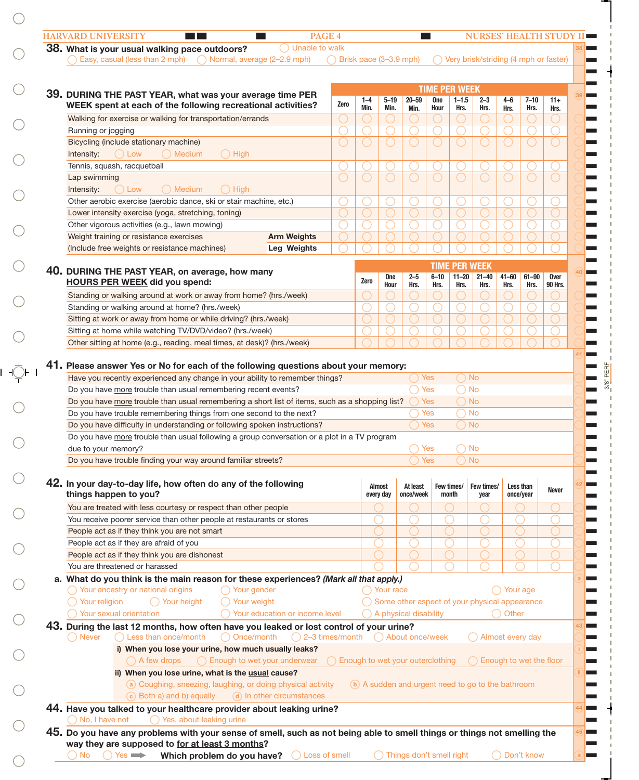| ◯ Unable to walk<br>38. What is your usual walking pace outdoors?<br>Easy, casual (less than 2 mph)<br>Normal, average (2–2.9 mph)                                                 | $\bigcap$ Brisk pace (3-3.9 mph)   |         |                    |                         |                                    |                   | ◯ Very brisk/striding (4 mph or faster)            |                   |                   |                        |
|------------------------------------------------------------------------------------------------------------------------------------------------------------------------------------|------------------------------------|---------|--------------------|-------------------------|------------------------------------|-------------------|----------------------------------------------------|-------------------|-------------------|------------------------|
|                                                                                                                                                                                    |                                    |         |                    |                         |                                    |                   |                                                    |                   |                   |                        |
|                                                                                                                                                                                    |                                    |         |                    |                         |                                    |                   |                                                    |                   |                   |                        |
| 39. DURING THE PAST YEAR, what was your average time PER                                                                                                                           |                                    | $1 - 4$ | $5 - 19$           | $20 - 59$               | <b>TIME PER WEEK</b><br><b>One</b> | $1 - 1.5$         | $2 - 3$                                            |                   | $7 - 10$          |                        |
| WEEK spent at each of the following recreational activities?                                                                                                                       | Zero                               | Min.    | Min.               | Min.                    | Hour                               | Hrs.              | Hrs.                                               | $4 - 6$<br>Hrs.   | Hrs.              | $11+$<br>Hrs.          |
| Walking for exercise or walking for transportation/errands                                                                                                                         |                                    |         |                    |                         |                                    |                   |                                                    |                   |                   |                        |
| Running or jogging                                                                                                                                                                 |                                    |         |                    | ◯                       |                                    |                   |                                                    |                   |                   |                        |
| Bicycling (include stationary machine)                                                                                                                                             |                                    |         |                    | $\bigcap$               |                                    |                   |                                                    |                   |                   |                        |
| $\bigcirc$ High<br>$()$ Low<br>() Medium<br>Intensity:                                                                                                                             |                                    |         |                    |                         |                                    |                   |                                                    |                   |                   |                        |
| Tennis, squash, racquetball                                                                                                                                                        |                                    |         |                    |                         |                                    |                   |                                                    |                   |                   |                        |
| Lap swimming                                                                                                                                                                       |                                    |         |                    | $\bigcap$               |                                    |                   |                                                    |                   |                   | ∩                      |
| Intensity:<br>$()$ Low<br>( ) Medium<br>$\bigcap$ High                                                                                                                             |                                    |         |                    |                         |                                    |                   |                                                    |                   |                   |                        |
| Other aerobic exercise (aerobic dance, ski or stair machine, etc.)                                                                                                                 |                                    |         |                    |                         |                                    |                   |                                                    |                   |                   |                        |
| Lower intensity exercise (yoga, stretching, toning)                                                                                                                                |                                    |         |                    |                         |                                    |                   |                                                    |                   |                   |                        |
| Other vigorous activities (e.g., lawn mowing)                                                                                                                                      |                                    |         |                    | ◯                       |                                    |                   |                                                    |                   |                   |                        |
| <b>Arm Weights</b><br>Weight training or resistance exercises                                                                                                                      |                                    |         |                    |                         |                                    |                   |                                                    |                   |                   |                        |
| (Include free weights or resistance machines)<br>Leg Weights                                                                                                                       |                                    |         |                    |                         |                                    |                   |                                                    |                   |                   |                        |
|                                                                                                                                                                                    |                                    |         |                    |                         |                                    |                   |                                                    |                   |                   |                        |
| 40. DURING THE PAST YEAR, on average, how many                                                                                                                                     |                                    |         |                    |                         |                                    |                   | <b>TIME PER WEEK</b>                               |                   |                   |                        |
| <b>HOURS PER WEEK</b> did you spend:                                                                                                                                               |                                    | Zero    | <b>One</b><br>Hour | $2 - 5$<br>Hrs.         | $6 - 10$<br>Hrs.                   | $11 - 20$<br>Hrs. | $21 - 40$<br>Hrs.                                  | $41 - 60$<br>Hrs. | $61 - 90$<br>Hrs. | <b>Over</b><br>90 Hrs. |
| Standing or walking around at work or away from home? (hrs./week)                                                                                                                  |                                    |         |                    |                         |                                    |                   |                                                    |                   |                   |                        |
| Standing or walking around at home? (hrs./week)                                                                                                                                    |                                    |         |                    | ◯                       |                                    |                   |                                                    |                   |                   |                        |
| Sitting at work or away from home or while driving? (hrs./week)                                                                                                                    |                                    |         |                    |                         |                                    |                   |                                                    |                   |                   |                        |
| Sitting at home while watching TV/DVD/video? (hrs./week)                                                                                                                           |                                    |         |                    |                         |                                    |                   |                                                    |                   |                   |                        |
| Other sitting at home (e.g., reading, meal times, at desk)? (hrs./week)                                                                                                            |                                    |         |                    |                         |                                    |                   |                                                    |                   |                   |                        |
|                                                                                                                                                                                    |                                    |         |                    |                         |                                    |                   |                                                    |                   |                   |                        |
| Do you have more trouble than usual remembering recent events?<br>Do you have more trouble than usual remembering a short list of items, such as a shopping list?                  |                                    |         |                    |                         | Yes<br>Yes                         | $\bigcap$ No      | ) No                                               |                   |                   |                        |
| Do you have trouble remembering things from one second to the next?                                                                                                                |                                    |         |                    |                         | Yes                                |                   | ) No                                               |                   |                   |                        |
| Do you have difficulty in understanding or following spoken instructions?                                                                                                          |                                    |         |                    |                         | <b>Yes</b>                         | $\bigcap$ No      |                                                    |                   |                   |                        |
| Do you have more trouble than usual following a group conversation or a plot in a TV program                                                                                       |                                    |         |                    |                         |                                    |                   |                                                    |                   |                   |                        |
| due to your memory?                                                                                                                                                                |                                    |         |                    | $\bigcap$ Yes           |                                    |                   | $)$ No                                             |                   |                   |                        |
|                                                                                                                                                                                    |                                    |         |                    |                         | <b>Yes</b>                         |                   | $\big)$ No                                         |                   |                   |                        |
| Do you have trouble finding your way around familiar streets?                                                                                                                      |                                    |         |                    |                         |                                    |                   |                                                    |                   |                   |                        |
|                                                                                                                                                                                    |                                    |         |                    |                         |                                    |                   | Few times/                                         |                   | Less than         | <b>Never</b>           |
| 42. In your day-to-day life, how often do any of the following                                                                                                                     |                                    |         | Almost             | At least                | Few times/                         |                   |                                                    |                   |                   |                        |
| things happen to you?                                                                                                                                                              |                                    |         | every day          | once/week               | month                              |                   | year                                               |                   | once/year         |                        |
| You are treated with less courtesy or respect than other people                                                                                                                    |                                    |         |                    |                         |                                    |                   |                                                    |                   |                   |                        |
| You receive poorer service than other people at restaurants or stores                                                                                                              |                                    |         |                    |                         |                                    |                   |                                                    |                   |                   |                        |
| People act as if they think you are not smart                                                                                                                                      |                                    |         |                    |                         |                                    |                   |                                                    |                   |                   |                        |
| People act as if they are afraid of you                                                                                                                                            |                                    |         |                    |                         |                                    |                   |                                                    |                   |                   |                        |
| People act as if they think you are dishonest                                                                                                                                      |                                    |         |                    |                         |                                    |                   |                                                    |                   |                   |                        |
| You are threatened or harassed                                                                                                                                                     |                                    |         |                    |                         |                                    |                   |                                                    |                   |                   |                        |
| a. What do you think is the main reason for these experiences? (Mark all that apply.)                                                                                              |                                    |         |                    |                         |                                    |                   |                                                    |                   |                   |                        |
| ◯ Your ancestry or national origins<br>◯ Your gender                                                                                                                               |                                    |         | () Your race       |                         |                                    |                   |                                                    | ◯ Your age        |                   |                        |
| Your religion<br>Your weight<br>◯ Your height                                                                                                                                      |                                    |         |                    |                         |                                    |                   | Some other aspect of your physical appearance      |                   |                   |                        |
| Your sexual orientation<br>Your education or income level                                                                                                                          |                                    |         |                    | ◯ A physical disability |                                    |                   |                                                    | ◯ Other           |                   |                        |
| 43. During the last 12 months, how often have you leaked or lost control of your urine?                                                                                            |                                    |         |                    |                         |                                    |                   |                                                    |                   |                   |                        |
| ◯ Once/month (2-3 times/month () About once/week<br>◯ Never<br>$\bigcap$ Less than once/month                                                                                      |                                    |         |                    |                         |                                    |                   | Almost every day                                   |                   |                   |                        |
| i) When you lose your urine, how much usually leaks?                                                                                                                               |                                    |         |                    |                         |                                    |                   |                                                    |                   |                   |                        |
| ◯ Enough to wet your underwear<br>$( )$ A few drops                                                                                                                                | ◯ Enough to wet your outerclothing |         |                    |                         |                                    |                   | ◯ Enough to wet the floor                          |                   |                   |                        |
| ii) When you lose urine, what is the usual cause?                                                                                                                                  |                                    |         |                    |                         |                                    |                   |                                                    |                   |                   |                        |
| a) Coughing, sneezing, laughing, or doing physical activity                                                                                                                        |                                    |         |                    |                         |                                    |                   | (b) A sudden and urgent need to go to the bathroom |                   |                   |                        |
| (c) Both a) and b) equally<br>(d) In other circumstances                                                                                                                           |                                    |         |                    |                         |                                    |                   |                                                    |                   |                   |                        |
| 44. Have you talked to your healthcare provider about leaking urine?                                                                                                               |                                    |         |                    |                         |                                    |                   |                                                    |                   |                   |                        |
| $\bigcap$ No, I have not<br>◯ Yes, about leaking urine<br>45. Do you have any problems with your sense of smell, such as not being able to smell things or things not smelling the |                                    |         |                    |                         |                                    |                   |                                                    |                   |                   |                        |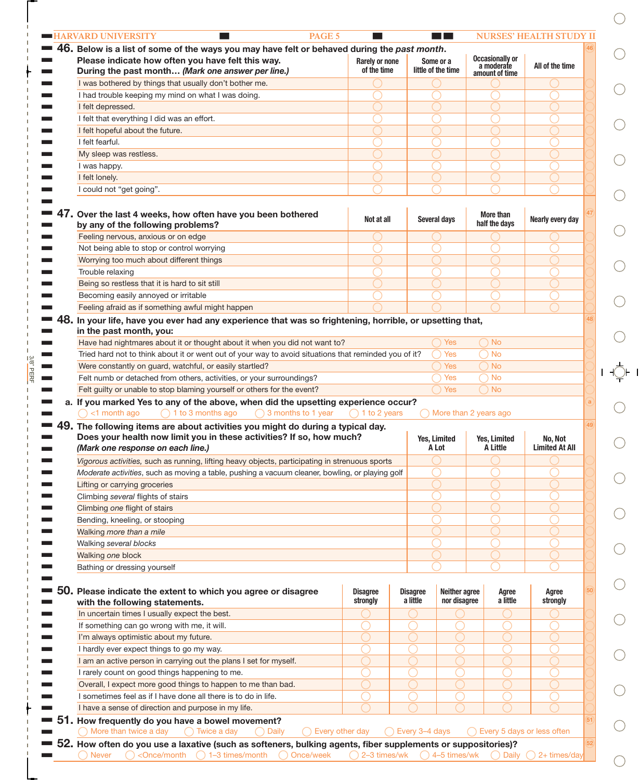|     | 46.<br>Below is a list of some of the ways you may have felt or behaved during the past month.<br>Please indicate how often you have felt this way.<br>During the past month (Mark one answer per line.) | <b>Rarely or none</b><br>of the time |                             | Some or a<br>little of the time | <b>Occasionally or</b><br>a moderate | All of the time                  |
|-----|----------------------------------------------------------------------------------------------------------------------------------------------------------------------------------------------------------|--------------------------------------|-----------------------------|---------------------------------|--------------------------------------|----------------------------------|
|     | I was bothered by things that usually don't bother me.                                                                                                                                                   |                                      |                             |                                 | amount of time                       |                                  |
|     | I had trouble keeping my mind on what I was doing.                                                                                                                                                       |                                      |                             |                                 |                                      |                                  |
|     | I felt depressed.                                                                                                                                                                                        |                                      |                             |                                 |                                      |                                  |
|     | I felt that everything I did was an effort.                                                                                                                                                              |                                      |                             |                                 |                                      |                                  |
|     | I felt hopeful about the future.                                                                                                                                                                         |                                      |                             |                                 |                                      |                                  |
|     | I felt fearful.                                                                                                                                                                                          |                                      |                             |                                 |                                      |                                  |
|     | My sleep was restless.                                                                                                                                                                                   |                                      |                             |                                 |                                      |                                  |
|     | I was happy.                                                                                                                                                                                             |                                      |                             |                                 |                                      |                                  |
|     | I felt lonely.                                                                                                                                                                                           |                                      |                             |                                 |                                      |                                  |
|     | I could not "get going".                                                                                                                                                                                 |                                      |                             |                                 |                                      |                                  |
|     | 47. Over the last 4 weeks, how often have you been bothered<br>by any of the following problems?                                                                                                         | Not at all                           |                             | Several days                    | More than<br>half the days           | Nearly every day                 |
|     | Feeling nervous, anxious or on edge                                                                                                                                                                      |                                      |                             |                                 |                                      |                                  |
|     | Not being able to stop or control worrying                                                                                                                                                               |                                      |                             |                                 |                                      |                                  |
|     | Worrying too much about different things                                                                                                                                                                 |                                      |                             |                                 |                                      |                                  |
|     | Trouble relaxing                                                                                                                                                                                         |                                      |                             |                                 |                                      |                                  |
|     | Being so restless that it is hard to sit still                                                                                                                                                           |                                      |                             |                                 |                                      |                                  |
|     | Becoming easily annoyed or irritable                                                                                                                                                                     |                                      |                             |                                 |                                      |                                  |
|     | Feeling afraid as if something awful might happen                                                                                                                                                        |                                      |                             |                                 |                                      |                                  |
| 48. |                                                                                                                                                                                                          |                                      |                             |                                 |                                      |                                  |
|     | In your life, have you ever had any experience that was so frightening, horrible, or upsetting that,<br>in the past month, you:                                                                          |                                      |                             |                                 |                                      |                                  |
|     | Have had nightmares about it or thought about it when you did not want to?                                                                                                                               |                                      |                             | <b>Yes</b>                      | $\bigcap$ No                         |                                  |
|     | Tried hard not to think about it or went out of your way to avoid situations that reminded you of it?                                                                                                    |                                      |                             | Yes                             | ) No                                 |                                  |
|     | Were constantly on guard, watchful, or easily startled?                                                                                                                                                  |                                      |                             | <b>Yes</b>                      | ) No                                 |                                  |
|     | Felt numb or detached from others, activities, or your surroundings?                                                                                                                                     |                                      |                             | Yes                             | ) No                                 |                                  |
|     | Felt guilty or unable to stop blaming yourself or others for the event?                                                                                                                                  |                                      |                             | <b>Yes</b>                      | $\bigcap$ No                         |                                  |
|     | a. If you marked Yes to any of the above, when did the upsetting experience occur?                                                                                                                       |                                      |                             |                                 |                                      |                                  |
|     | $\bigcap$ <1 month ago<br>$\bigcap$ 1 to 3 months ago<br>$\bigcap$ 3 months to 1 year                                                                                                                    | ) 1 to 2 years                       |                             |                                 | More than 2 years ago                |                                  |
|     | $49.$ The following items are about activities you might do during a typical day.<br>Does your health now limit you in these activities? If so, how much?<br>(Mark one response on each line.)           |                                      |                             | Yes, Limited<br>A Lot           | Yes, Limited<br>A Little             | No, Not<br><b>Limited At All</b> |
|     | Vigorous activities, such as running, lifting heavy objects, participating in strenuous sports                                                                                                           |                                      |                             |                                 |                                      |                                  |
|     |                                                                                                                                                                                                          |                                      |                             |                                 |                                      |                                  |
|     | Moderate activities, such as moving a table, pushing a vacuum cleaner, bowling, or playing golf                                                                                                          |                                      |                             |                                 |                                      |                                  |
|     | Lifting or carrying groceries                                                                                                                                                                            |                                      |                             |                                 |                                      |                                  |
|     | Climbing several flights of stairs                                                                                                                                                                       |                                      |                             |                                 |                                      |                                  |
|     | Climbing one flight of stairs                                                                                                                                                                            |                                      |                             |                                 |                                      |                                  |
|     | Bending, kneeling, or stooping                                                                                                                                                                           |                                      |                             |                                 |                                      |                                  |
|     | Walking more than a mile                                                                                                                                                                                 |                                      |                             |                                 |                                      |                                  |
|     | Walking several blocks                                                                                                                                                                                   |                                      |                             |                                 |                                      |                                  |
|     | Walking one block                                                                                                                                                                                        |                                      |                             |                                 |                                      |                                  |
|     | Bathing or dressing yourself                                                                                                                                                                             |                                      |                             |                                 |                                      |                                  |
|     | Please indicate the extent to which you agree or disagree                                                                                                                                                | <b>Disagree</b><br>strongly          | <b>Disagree</b><br>a little | Neither agree<br>nor disagree   | Agree<br>a little                    | Agree<br>strongly                |
|     |                                                                                                                                                                                                          |                                      |                             |                                 |                                      |                                  |
|     | with the following statements.                                                                                                                                                                           |                                      |                             |                                 |                                      |                                  |
|     | In uncertain times I usually expect the best.                                                                                                                                                            |                                      |                             |                                 |                                      |                                  |
|     | If something can go wrong with me, it will.                                                                                                                                                              |                                      |                             |                                 |                                      |                                  |
|     | I'm always optimistic about my future.                                                                                                                                                                   |                                      |                             |                                 |                                      |                                  |
|     | I hardly ever expect things to go my way.                                                                                                                                                                |                                      |                             |                                 |                                      |                                  |
|     | I am an active person in carrying out the plans I set for myself.                                                                                                                                        |                                      |                             |                                 |                                      |                                  |
|     | I rarely count on good things happening to me.                                                                                                                                                           |                                      |                             |                                 |                                      |                                  |
|     | Overall, I expect more good things to happen to me than bad.                                                                                                                                             |                                      |                             |                                 |                                      |                                  |
|     | I sometimes feel as if I have done all there is to do in life.                                                                                                                                           |                                      |                             |                                 |                                      |                                  |
| 50. | I have a sense of direction and purpose in my life.<br>How frequently do you have a bowel movement?                                                                                                      |                                      |                             |                                 |                                      |                                  |

 $\bigcirc$ 

 $\bigcirc$